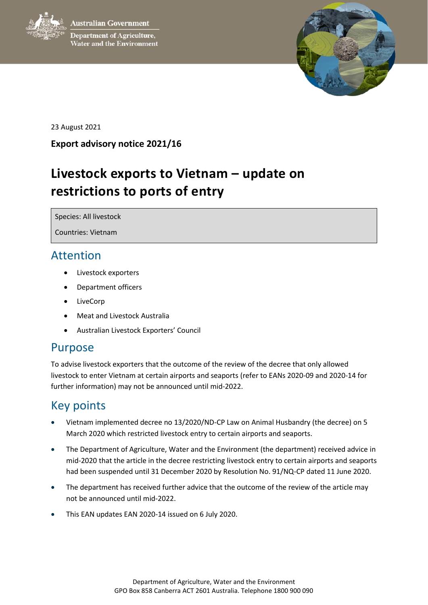**Australian Government** 



**Department of Agriculture,** Water and the Environment



23 August 2021

#### **Export advisory notice 2021/16**

# **Livestock exports to Vietnam – update on restrictions to ports of entry**

Species: All livestock

Countries: Vietnam

### Attention

- Livestock exporters
- Department officers
- LiveCorp
- Meat and Livestock Australia
- Australian Livestock Exporters' Council

#### Purpose

To advise livestock exporters that the outcome of the review of the decree that only allowed livestock to enter Vietnam at certain airports and seaports (refer to EANs 2020-09 and 2020-14 for further information) may not be announced until mid-2022.

## Key points

- Vietnam implemented decree no 13/2020/ND-CP Law on Animal Husbandry (the decree) on 5 March 2020 which restricted livestock entry to certain airports and seaports.
- The Department of Agriculture, Water and the Environment (the department) received advice in mid-2020 that the article in the decree restricting livestock entry to certain airports and seaports had been suspended until 31 December 2020 by Resolution No. 91/NQ-CP dated 11 June 2020.
- The department has received further advice that the outcome of the review of the article may not be announced until mid-2022.
- This EAN updates EAN 2020-14 issued on 6 July 2020.